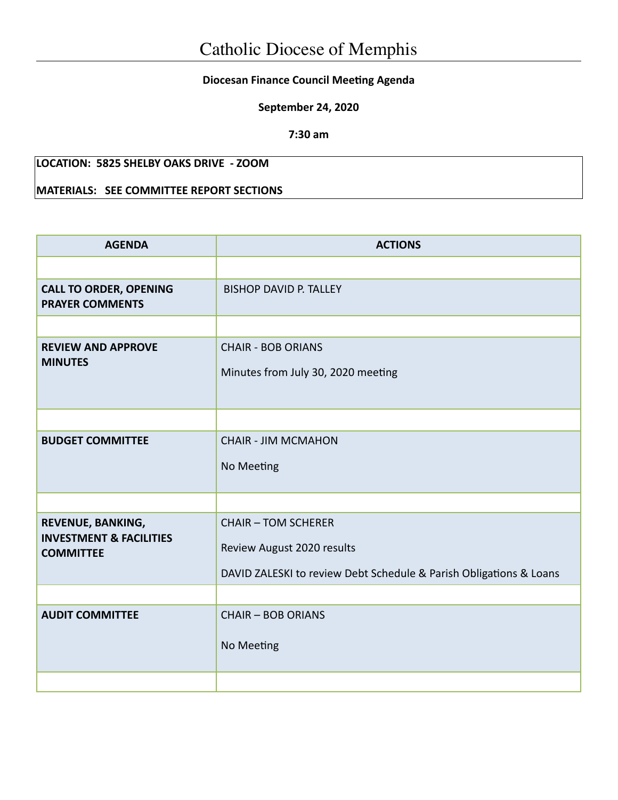## **Diocesan Finance Council Meeting Agenda**

**September 24, 2020**

**7:30 am**

## **LOCATION: 5825 SHELBY OAKS DRIVE - ZOOM**

## **MATERIALS: SEE COMMITTEE REPORT SECTIONS**

| <b>AGENDA</b>                                                               | <b>ACTIONS</b>                                                                                                                 |  |  |
|-----------------------------------------------------------------------------|--------------------------------------------------------------------------------------------------------------------------------|--|--|
|                                                                             |                                                                                                                                |  |  |
| <b>CALL TO ORDER, OPENING</b><br><b>PRAYER COMMENTS</b>                     | <b>BISHOP DAVID P. TALLEY</b>                                                                                                  |  |  |
|                                                                             |                                                                                                                                |  |  |
| <b>REVIEW AND APPROVE</b><br><b>MINUTES</b>                                 | <b>CHAIR - BOB ORIANS</b><br>Minutes from July 30, 2020 meeting                                                                |  |  |
|                                                                             |                                                                                                                                |  |  |
| <b>BUDGET COMMITTEE</b>                                                     | <b>CHAIR - JIM MCMAHON</b><br>No Meeting                                                                                       |  |  |
|                                                                             |                                                                                                                                |  |  |
| REVENUE, BANKING,<br><b>INVESTMENT &amp; FACILITIES</b><br><b>COMMITTEE</b> | <b>CHAIR - TOM SCHERER</b><br>Review August 2020 results<br>DAVID ZALESKI to review Debt Schedule & Parish Obligations & Loans |  |  |
|                                                                             |                                                                                                                                |  |  |
| <b>AUDIT COMMITTEE</b>                                                      | <b>CHAIR - BOB ORIANS</b><br>No Meeting                                                                                        |  |  |
|                                                                             |                                                                                                                                |  |  |